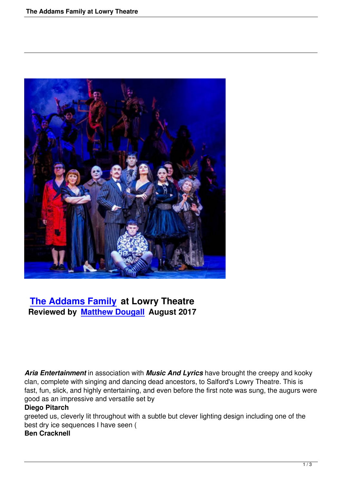

# **The Addams Family at Lowry Theatre Reviewed by Matthew Dougall August 2017**

*Aria Entertainment* in association with *Music And Lyrics* have brought the creepy and kooky clan, complete with singing and dancing dead ancestors, to Salford's Lowry Theatre. This is fast, fun, slick, and highly entertaining, and even before the first note was sung, the augurs were good as an impressive and versatile set by

## **Diego Pitarch**

greeted us, cleverly lit throughout with a subtle but clever lighting design including one of the best dry ice sequences I have seen ( **Ben Cracknell**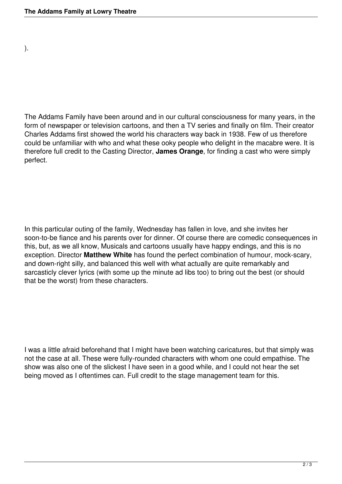).

The Addams Family have been around and in our cultural consciousness for many years, in the form of newspaper or television cartoons, and then a TV series and finally on film. Their creator Charles Addams first showed the world his characters way back in 1938. Few of us therefore could be unfamiliar with who and what these ooky people who delight in the macabre were. It is therefore full credit to the Casting Director, **James Orange**, for finding a cast who were simply perfect.

In this particular outing of the family, Wednesday has fallen in love, and she invites her soon-to-be fiance and his parents over for dinner. Of course there are comedic consequences in this, but, as we all know, Musicals and cartoons usually have happy endings, and this is no exception. Director **Matthew White** has found the perfect combination of humour, mock-scary, and down-right silly, and balanced this well with what actually are quite remarkably and sarcasticly clever lyrics (with some up the minute ad libs too) to bring out the best (or should that be the worst) from these characters.

I was a little afraid beforehand that I might have been watching caricatures, but that simply was not the case at all. These were fully-rounded characters with whom one could empathise. The show was also one of the slickest I have seen in a good while, and I could not hear the set being moved as I oftentimes can. Full credit to the stage management team for this.